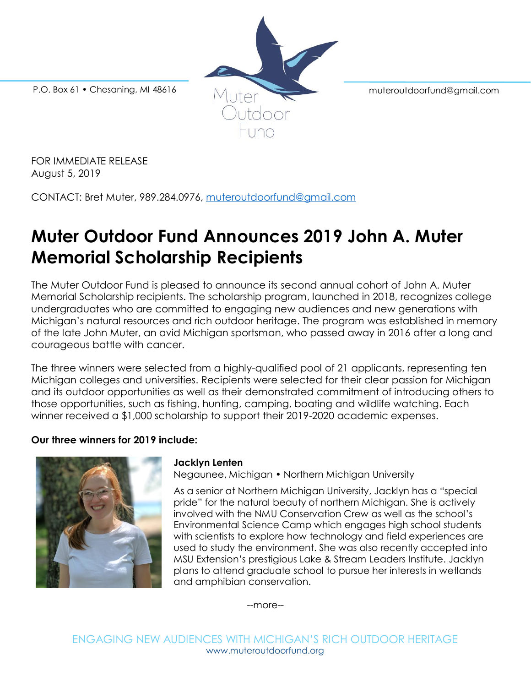

FOR IMMEDIATE RELEASE August 5, 2019

CONTACT: Bret Muter, 989.284.0976, [muteroutdoorfund@gmail.com](mailto:muteroutdoorfund@gmail.com)

# **Muter Outdoor Fund Announces 2019 John A. Muter Memorial Scholarship Recipients**

The Muter Outdoor Fund is pleased to announce its second annual cohort of John A. Muter Memorial Scholarship recipients. The scholarship program, launched in 2018, recognizes college undergraduates who are committed to engaging new audiences and new generations with Michigan's natural resources and rich outdoor heritage. The program was established in memory of the late John Muter, an avid Michigan sportsman, who passed away in 2016 after a long and courageous battle with cancer.

The three winners were selected from a highly-qualified pool of 21 applicants, representing ten Michigan colleges and universities. Recipients were selected for their clear passion for Michigan and its outdoor opportunities as well as their demonstrated commitment of introducing others to those opportunities, such as fishing, hunting, camping, boating and wildlife watching. Each winner received a \$1,000 scholarship to support their 2019-2020 academic expenses.

## **Our three winners for 2019 include:**



#### **Jacklyn Lenten**

Negaunee, Michigan • Northern Michigan University

As a senior at Northern Michigan University, Jacklyn has a "special pride" for the natural beauty of northern Michigan. She is actively involved with the NMU Conservation Crew as well as the school's Environmental Science Camp which engages high school students with scientists to explore how technology and field experiences are used to study the environment. She was also recently accepted into MSU Extension's prestigious Lake & Stream Leaders Institute. Jacklyn plans to attend graduate school to pursue her interests in wetlands and amphibian conservation.

--more--